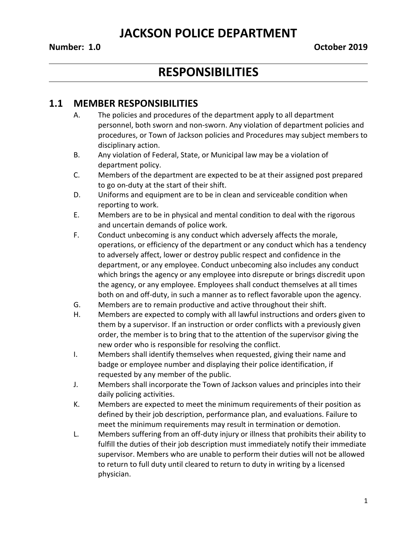### **Number: 1.0 October 2019**

# **RESPONSIBILITIES**

### **1.1 MEMBER RESPONSIBILITIES**

- A. The policies and procedures of the department apply to all department personnel, both sworn and non-sworn. Any violation of department policies and procedures, or Town of Jackson policies and Procedures may subject members to disciplinary action.
- B. Any violation of Federal, State, or Municipal law may be a violation of department policy.
- C. Members of the department are expected to be at their assigned post prepared to go on-duty at the start of their shift.
- D. Uniforms and equipment are to be in clean and serviceable condition when reporting to work.
- E. Members are to be in physical and mental condition to deal with the rigorous and uncertain demands of police work.
- F. Conduct unbecoming is any conduct which adversely affects the morale, operations, or efficiency of the department or any conduct which has a tendency to adversely affect, lower or destroy public respect and confidence in the department, or any employee. Conduct unbecoming also includes any conduct which brings the agency or any employee into disrepute or brings discredit upon the agency, or any employee. Employees shall conduct themselves at all times both on and off-duty, in such a manner as to reflect favorable upon the agency.
- G. Members are to remain productive and active throughout their shift.
- H. Members are expected to comply with all lawful instructions and orders given to them by a supervisor. If an instruction or order conflicts with a previously given order, the member is to bring that to the attention of the supervisor giving the new order who is responsible for resolving the conflict.
- I. Members shall identify themselves when requested, giving their name and badge or employee number and displaying their police identification, if requested by any member of the public.
- J. Members shall incorporate the Town of Jackson values and principles into their daily policing activities.
- K. Members are expected to meet the minimum requirements of their position as defined by their job description, performance plan, and evaluations. Failure to meet the minimum requirements may result in termination or demotion.
- L. Members suffering from an off-duty injury or illness that prohibits their ability to fulfill the duties of their job description must immediately notify their immediate supervisor. Members who are unable to perform their duties will not be allowed to return to full duty until cleared to return to duty in writing by a licensed physician.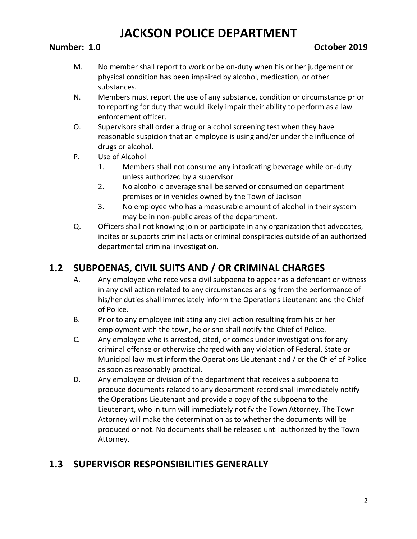### **Number: 1.0 October 2019**

- M. No member shall report to work or be on-duty when his or her judgement or physical condition has been impaired by alcohol, medication, or other substances.
- N. Members must report the use of any substance, condition or circumstance prior to reporting for duty that would likely impair their ability to perform as a law enforcement officer.
- O. Supervisors shall order a drug or alcohol screening test when they have reasonable suspicion that an employee is using and/or under the influence of drugs or alcohol.
- P. Use of Alcohol
	- 1. Members shall not consume any intoxicating beverage while on-duty unless authorized by a supervisor
	- 2. No alcoholic beverage shall be served or consumed on department premises or in vehicles owned by the Town of Jackson
	- 3. No employee who has a measurable amount of alcohol in their system may be in non-public areas of the department.
- Q. Officers shall not knowing join or participate in any organization that advocates, incites or supports criminal acts or criminal conspiracies outside of an authorized departmental criminal investigation.

## **1.2 SUBPOENAS, CIVIL SUITS AND / OR CRIMINAL CHARGES**

- A. Any employee who receives a civil subpoena to appear as a defendant or witness in any civil action related to any circumstances arising from the performance of his/her duties shall immediately inform the Operations Lieutenant and the Chief of Police.
- B. Prior to any employee initiating any civil action resulting from his or her employment with the town, he or she shall notify the Chief of Police.
- C. Any employee who is arrested, cited, or comes under investigations for any criminal offense or otherwise charged with any violation of Federal, State or Municipal law must inform the Operations Lieutenant and / or the Chief of Police as soon as reasonably practical.
- D. Any employee or division of the department that receives a subpoena to produce documents related to any department record shall immediately notify the Operations Lieutenant and provide a copy of the subpoena to the Lieutenant, who in turn will immediately notify the Town Attorney. The Town Attorney will make the determination as to whether the documents will be produced or not. No documents shall be released until authorized by the Town Attorney.

## **1.3 SUPERVISOR RESPONSIBILITIES GENERALLY**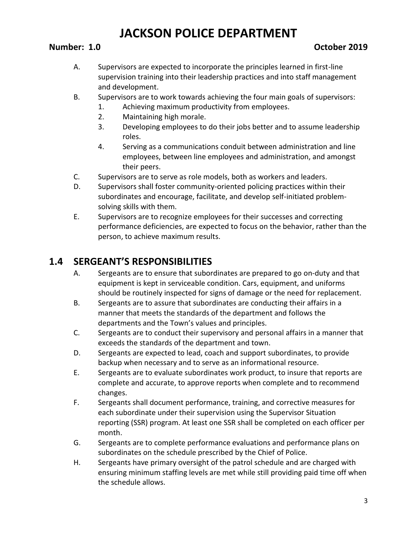### **Number: 1.0 October 2019**

- A. Supervisors are expected to incorporate the principles learned in first-line supervision training into their leadership practices and into staff management and development.
- B. Supervisors are to work towards achieving the four main goals of supervisors:
	- 1. Achieving maximum productivity from employees.
	- 2. Maintaining high morale.
	- 3. Developing employees to do their jobs better and to assume leadership roles.
	- 4. Serving as a communications conduit between administration and line employees, between line employees and administration, and amongst their peers.
- C. Supervisors are to serve as role models, both as workers and leaders.
- D. Supervisors shall foster community-oriented policing practices within their subordinates and encourage, facilitate, and develop self-initiated problemsolving skills with them.
- E. Supervisors are to recognize employees for their successes and correcting performance deficiencies, are expected to focus on the behavior, rather than the person, to achieve maximum results.

## **1.4 SERGEANT'S RESPONSIBILITIES**

- A. Sergeants are to ensure that subordinates are prepared to go on-duty and that equipment is kept in serviceable condition. Cars, equipment, and uniforms should be routinely inspected for signs of damage or the need for replacement.
- B. Sergeants are to assure that subordinates are conducting their affairs in a manner that meets the standards of the department and follows the departments and the Town's values and principles.
- C. Sergeants are to conduct their supervisory and personal affairs in a manner that exceeds the standards of the department and town.
- D. Sergeants are expected to lead, coach and support subordinates, to provide backup when necessary and to serve as an informational resource.
- E. Sergeants are to evaluate subordinates work product, to insure that reports are complete and accurate, to approve reports when complete and to recommend changes.
- F. Sergeants shall document performance, training, and corrective measures for each subordinate under their supervision using the Supervisor Situation reporting (SSR) program. At least one SSR shall be completed on each officer per month.
- G. Sergeants are to complete performance evaluations and performance plans on subordinates on the schedule prescribed by the Chief of Police.
- H. Sergeants have primary oversight of the patrol schedule and are charged with ensuring minimum staffing levels are met while still providing paid time off when the schedule allows.